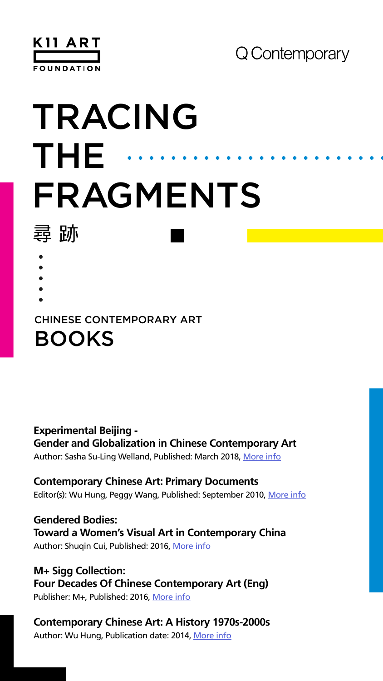

# TRACING THE FRAGMENTS 尋助

- 
- 
- 
- 
- -
	-

### BOOKS CHINESE CONTEMPORARY ART

### **Experimental Beijing - Gender and Globalization in Chinese Contemporary Art**

Author: Sasha Su-Ling Welland, Published: March 2018, [More info](https://www.dukeupress.edu/experimental-beijing)

**Gendered Bodies: Toward a Women's Visual Art in Contemporary China** Author: Shuqin Cui, Published: 2016, [More info](https://www.jstor.org/stable/j.ctvvn7wm)

#### **Contemporary Chinese Art: Primary Documents**

Editor(s): Wu Hung, Peggy Wang, Published: September 2010, [More info](https://www.dukeupress.edu/contemporary-chinese-art)

**M+ Sigg Collection: Four Decades Of Chinese Contemporary Art (Eng)**

Publisher: M+, Published: 2016, [More info](https://shop.mplus.org.hk/collections/publications/products/m-sigg-collection-four-decades-of-chinese-contemporary-art-eng)

### **Contemporary Chinese Art: A History 1970s-2000s**

Author: Wu Hung, Publication date: 2014, [More info](https://thamesandhudson.com/contemporary-chinese-art-a-history-9780500239209)

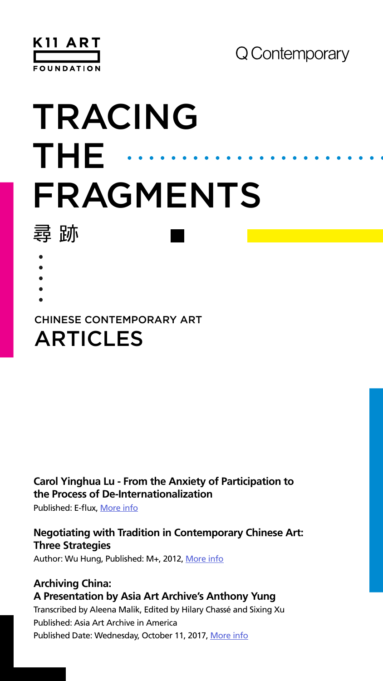

# TRACING THE FRAGMENTS 尋助

- 
- 
- 
- 
- -
	-

#### **Carol Yinghua Lu - From the Anxiety of Participation to the Process of De-Internationalization**

Published: E-flux, [More info](https://www.e-flux.com/journal/70/60556/from-the-anxiety-of-participation-to-the-process-of-de-internationalization/)

### **Negotiating with Tradition in Contemporary Chinese Art: Three Strategies**

Author: Wu Hung, Published: M+, 2012, [More info](https://www.mplusmatters.hk/inkart/paper_topic10.php?l=en)

Published: Asia Art Archive in America Published Date: Wednesday, October 11, 2017, [More info](https://www.aaa-a.org/programs/archiving-china-a-presentation-by-asia-art-archives-anthony-yung/)

## CHINESE CONTEMPORARY ART ARTICLES

#### **Archiving China: A Presentation by Asia Art Archive's Anthony Yung** Transcribed by Aleena Malik, Edited by Hilary Chassé and Sixing Xu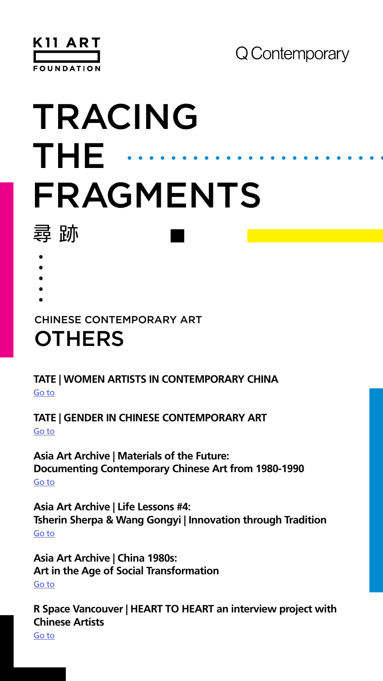

# TRACING THE FRAGMENTS 尋助

- 
- 
- 
- 
- -
	-

## **OTHERS** CHINESE CONTEMPORARY ART

### **TATE | WOMEN ARTISTS IN CONTEMPORARY CHINA** Go to

#### **TATE | GENDER IN CHINESE CONTEMPORARY ART** Go to

**Asia Art Archive | Materials of the Future: Documenting Contemporary Chinese Art from 1980-1990** Go to

**Asia Art Archive | Life Lessons #4: Tsherin Sherpa & Wang Gongyi | Innovation through Tradition** Go to

**Asia Art Archive | China 1980s: Art in the Age of Social Transformation** Go to

**R Space Vancouver | HEART TO HEART an interview project with Chinese Artists**

Go to

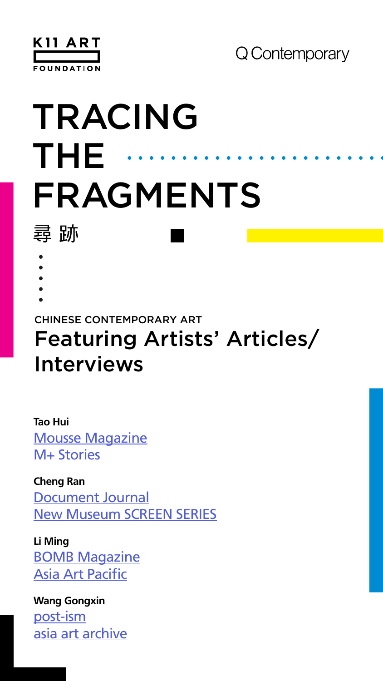

# TRACING THE FRAGMENTS 尋助

- 
- 
- 
- 
- -
	-

# Featuring Artists' Articles/ Interviews CHINESE CONTEMPORARY ART

**Tao Hui [Mousse Magazine](http://moussemagazine.it/tao-hui-alvin-li-2020/)** [M+ Stories](https://stories.mplus.org.hk/en/channel/tao-hui-a-window-on-popular-culture/)

**Cheng Ran** [Document Journal](https://www.documentjournal.com/2019/07/cheng-ran-the-video-artist-melding-underground-stories-with-experimental-dj-scores/) [New Museum SCREEN SERIES](https://www.newmuseum.tv/cheng-ran-screens-series)

**Li Ming [BOMB Magazine](https://bombmagazine.org/articles/li-ming-rendering-the-mind/)** [Asia Art Pacific](http://artasiapacific.com/Blog/PlayAndLoopRecapOfLiMingScreening)

**Wang Gongxin** [post-ism](https://post-ism.com/2018/03/20/wang-gongxin-history-rebooted/) [asia art archive](https://aaa.org.hk/en/collections/search/archive/francesca-dal-lago-archive-wang-gongxin/object/the-artistic-collision-of-balance-and-imbalance-interview-on-wang-gongxin)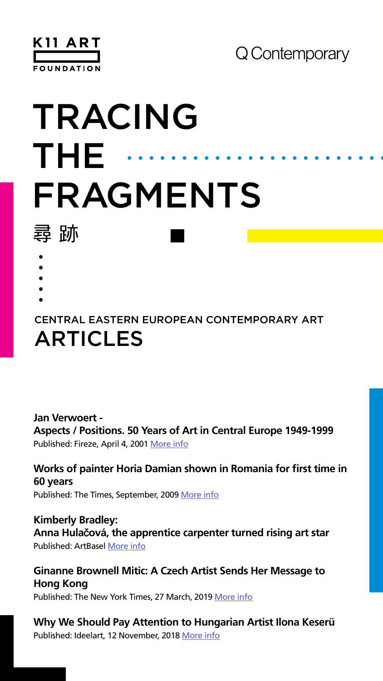

# TRACING THE FRAGMENTS 尋助

- 
- 
- 

**Jan Verwoert - Aspects / Positions. 50 Years of Art in Central Europe 1949-1999** Published: Fireze, April 4, 2001 [More info](https://www.frieze.com/article/aspects-positions-50- years-art-central-europe-1949-1999
)

## ARTICLES CENTRAL EASTERN EUROPEAN CONTEMPORARY ART

### **Works of painter Horia Damian shown in Romania for first time in 60 years**

Published: The Times, September, 2009 [More info](https://www.plan-b.ro/wp-content/uploads/2017/04/Horia-Damian-The-Times-2009.pdf)

**Kimberly Bradley: Anna Hula**č**ová, the apprentice carpenter turned rising art star** Published: ArtBasel [More info](https://www.artbasel.com/news/anna-hulacova-hunt-kastner-art-basel-hong-kong-2019)

#### **Ginanne Brownell Mitic: A Czech Artist Sends Her Message to Hong Kong**

Published: The New York Times, 27 March, 2019 [More info](https://www.nytimes.com/2019/03/27/arts/art-basel-hong-kong-anna-hulacova.html)

#### **Why We Should Pay Attention to Hungarian Artist Ilona Keserü**

Published: Ideelart, 12 November, 2018 [More info](https://www.ideelart.com/magazine/ilona-keseru)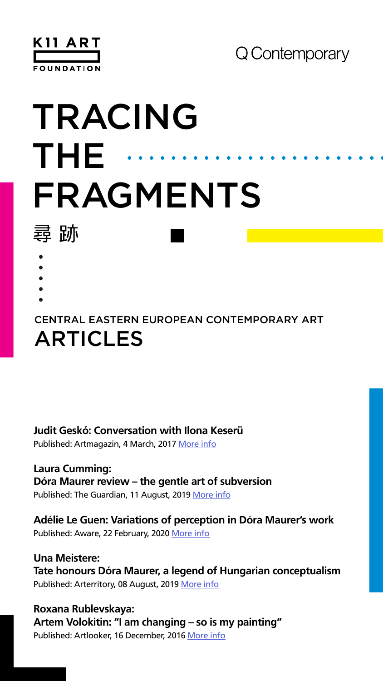

# TRACING THE FRAGMENTS 尋助

- 
- 
- 

# ARTICLES CENTRAL EASTERN EUROPEAN CONTEMPORARY ART

**Laura Cumming: Dóra Maurer review – the gentle art of subversion** Published: The Guardian, 11 August, 2019 [More info](https://www.theguardian.com/artanddesign/2019/aug/11/dora-maurer-review-tate-modern)

#### **Judit Geskó: Conversation with Ilona Keserü**

Published: Artmagazin, 4 March, 2017 [More info](https://www.artmagazin.hu/articles/in_english/32f0030168a5221080dbdcf075446345)

**Adélie Le Guen: Variations of perception in Dóra Maurer's work** Published: Aware, 22 February, 2020 [More info](https://awarewomenartists.com/en/magazine/les-variations-de-la-perception-dans-loeuvre-de-dora-maurer/)

**Una Meistere: Tate honours Dóra Maurer, a legend of Hungarian conceptualism** Published: Arterritory, 08 August, 2019 [More info](https://arterritory.com/en/visual_arts/articles/24262-tate_honours_dora_maurer_a_legend_of_hungarian_conceptualism/)

**Roxana Rublevskaya: Artem Volokitin: "I am changing – so is my painting"** Published: Artlooker, 16 December, 2016 [More info](https://artslooker.com/en/artem-volokitin-i-am-changing-so-is-my-painting/)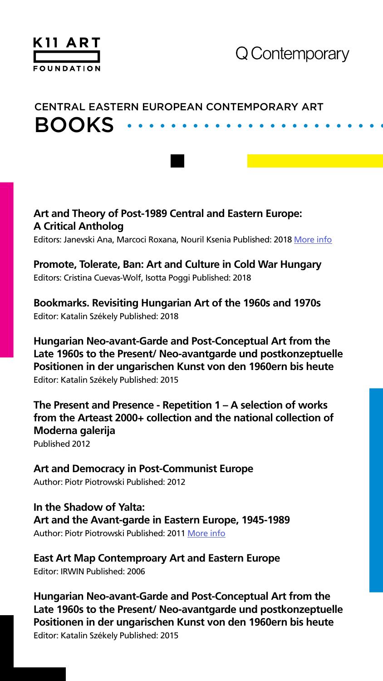

# BOOKS CENTRAL EASTERN EUROPEAN CONTEMPORARY ART

#### **Art and Theory of Post-1989 Central and Eastern Europe: A Critical Antholog**

Editors: Janevski Ana, Marcoci Roxana, Nouril Ksenia Published: 2018 [More info](https://www.moma.org/d/pdfs/W1siZiIsIjIwMjAvMDMvMzEvM3kycDk4ODR4bl9DRUVfQXJ0X2FuZF9UaGVvcnlfb2ZfQ2VudHJhbF9hbmRfRWFzdGVybl9FdXJvcGUucGRmIl1d/CEE_Art_and_Theory_of_Central_and_Eastern_Europe.pdf?sha=a3944809e646db5e)

#### **Promote, Tolerate, Ban: Art and Culture in Cold War Hungary**

Editors: Cristina Cuevas-Wolf, Isotta Poggi Published: 2018

#### **Bookmarks. Revisiting Hungarian Art of the 1960s and 1970s**

Editor: Katalin Székely Published: 2018

**Hungarian Neo-avant-Garde and Post-Conceptual Art from the Late 1960s to the Present/ Neo-avantgarde und postkonzeptuelle Positionen in der ungarischen Kunst von den 1960ern bis heute** Editor: Katalin Székely Published: 2015

#### **The Present and Presence - Repetition 1 – A selection of works from the Arteast 2000+ collection and the national collection of Moderna galerija**

Published 2012

#### **Art and Democracy in Post-Communist Europe**

Author: Piotr Piotrowski Published: 2012

### **In the Shadow of Yalta: Art and the Avant-garde in Eastern Europe, 1945-1989**

Author: Piotr Piotrowski Published: 2011 [More info](https://monoskop.org/images/4/43/Piotrowski_Piotr_In_the_Shadow_of_Yalta_Art_and_the_Avant-garde_in_Eastern_Europe_1945-1989_2009.pdf)

#### **East Art Map Contemproary Art and Eastern Europe**

Editor: IRWIN Published: 2006

**Hungarian Neo-avant-Garde and Post-Conceptual Art from the Late 1960s to the Present/ Neo-avantgarde und postkonzeptuelle Positionen in der ungarischen Kunst von den 1960ern bis heute** Editor: Katalin Székely Published: 2015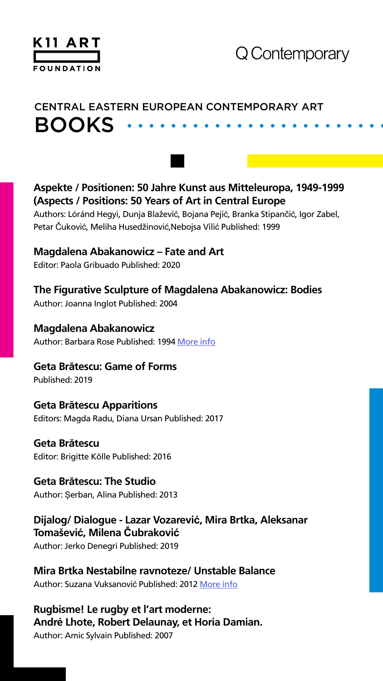

# BOOKS CENTRAL EASTERN EUROPEAN CONTEMPORARY ART

**Aspekte / Positionen: 50 Jahre Kunst aus Mitteleuropa, 1949-1999 (Aspects / Positions: 50 Years of Art in Central Europe**

Authors: Lóránd Hegyi, Dunja Blažević, Bojana Pejić, Branka Stipančić, Igor Zabel, Petar Čuković, Meliha Husedžinović,Nebojsa Vilić Published: 1999

#### **Magdalena Abakanowicz – Fate and Art**

Editor: Paola Gribuado Published: 2020

### **The Figurative Sculpture of Magdalena Abakanowicz: Bodies**

Author: Joanna Inglot Published: 2004

#### **Magdalena Abakanowicz**

Author: Barbara Rose Published: 1994 [More info](https://pgiaa.org/afacg/Rose_Abakanowicz.pdf)

#### **Geta Brătescu: Game of Forms**

Published: 2019

#### **Geta Brătescu Apparitions**

Editors: Magda Radu, Diana Ursan Published: 2017

#### **Geta Brătescu**

Editor: Brigitte Kölle Published: 2016

#### **Geta Brătescu: The Studio**

Author: Șerban, Alina Published: 2013

#### **Dijalog/ Dialogue - Lazar Vozarević, Mira Brtka, Aleksanar Tomašević, Milena Čubraković**

Author: Jerko Denegri Published: 2019

#### **Mira Brtka Nestabilne ravnoteze/ Unstable Balance**

Author: Suzana Vuksanović Published: 2012 [More info](http://old.msuv.org/assets/media/publikacije/2012/2012_05_mira-brtka-nestabilne- ravnoteze.pdf)

#### **Rugbisme! Le rugby et l'art moderne: André Lhote, Robert Delaunay, et Horia Damian.**

Author: Amic Sylvain Published: 2007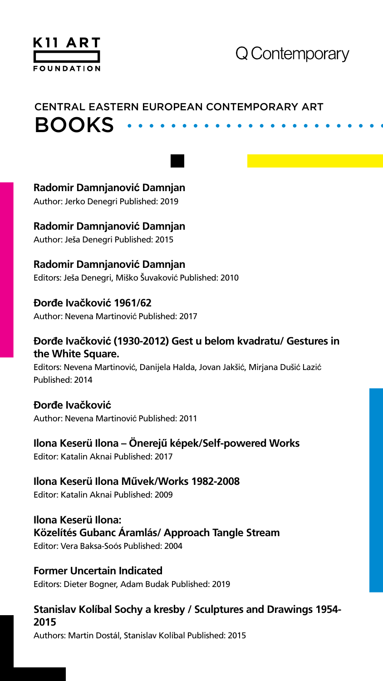

# BOOKS CENTRAL EASTERN EUROPEAN CONTEMPORARY ART

#### **Radomir Damnjanović Damnjan**

Author: Jerko Denegri Published: 2019

#### **Radomir Damnjanović Damnjan**

Author: Ješa Denegri Published: 2015

#### **Radomir Damnjanović Damnjan**

Editors: Ješa Denegri, Miško Šuvaković Published: 2010

#### **Ðorđe Ivačković 1961/62**

Author: Nevena Martinović Published: 2017

#### **Ðorđe Ivačković (1930-2012) Gest u belom kvadratu/ Gestures in the White Square.**

Editors: Nevena Martinović, Danijela Halda, Jovan Jakšić, Mirjana Dušić Lazić Published: 2014

#### **Ðorđe Ivačković**

Author: Nevena Martinović Published: 2011

#### **Ilona Keserü Ilona – Önerejű képek/Self-powered Works**

Editor: Katalin Aknai Published: 2017

#### **Ilona Keserü Ilona Művek/Works 1982-2008**

Editor: Katalin Aknai Published: 2009

#### **Ilona Keserü Ilona: Közelítés Gubanc Áramlás/ Approach Tangle Stream**

Editor: Vera Baksa-Soós Published: 2004

#### **Former Uncertain Indicated**

Editors: Dieter Bogner, Adam Budak Published: 2019

#### **Stanislav Kolíbal Sochy a kresby / Sculptures and Drawings 1954- 2015**

Authors: Martin Dostál, Stanislav Kolíbal Published: 2015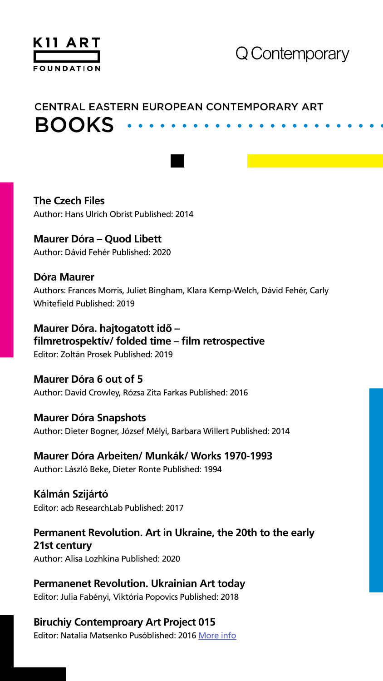

# BOOKS CENTRAL EASTERN EUROPEAN CONTEMPORARY ART

#### **The Czech Files**

Author: Hans Ulrich Obrist Published: 2014

#### **Maurer Dóra – Quod Libett**

Author: Dávid Fehér Published: 2020

#### **Dóra Maurer**

Authors: Frances Morris, Juliet Bingham, Klara Kemp-Welch, Dávid Fehér, Carly Whitefield Published: 2019

#### **Maurer Dóra. hajtogatott idő – filmretrospektív/ folded time – film retrospective**

Editor: Zoltán Prosek Published: 2019

#### **Maurer Dóra 6 out of 5**

Author: David Crowley, Rózsa Zita Farkas Published: 2016

#### **Maurer Dóra Snapshots**

Author: Dieter Bogner, József Mélyi, Barbara Willert Published: 2014

#### **Maurer Dóra Arbeiten/ Munkák/ Works 1970-1993**

Author: László Beke, Dieter Ronte Published: 1994

#### **Kálmán Szijártó**

Editor: acb ResearchLab Published: 2017

#### **Permanent Revolution. Art in Ukraine, the 20th to the early 21st century**

Author: Alisa Lozhkina Published: 2020

#### **Permanenet Revolution. Ukrainian Art today**

Editor: Julia Fabényi, Viktória Popovics Published: 2018

#### **Biruchiy Contemproary Art Project 015**

Editor: Natalia Matsenko Pusóblished: 2016 [More info](https://issuu.com/biruchiy_contemporary_art/docs/biruchiy_symposium_2016)